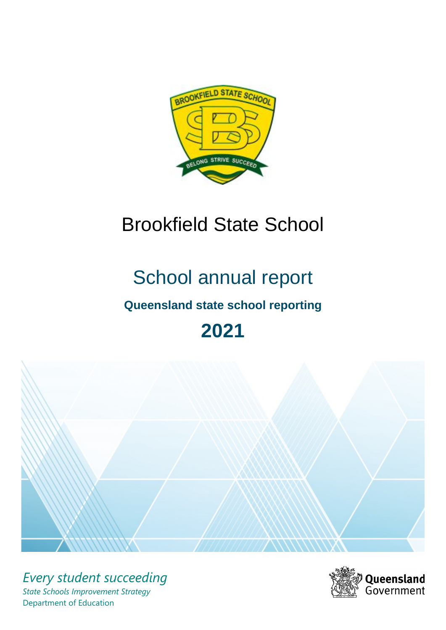

# Brookfield State School

# School annual report

# **Queensland state school reporting**

# **2021**



*Every student succeeding State Schools Improvement Strategy* Department of Education

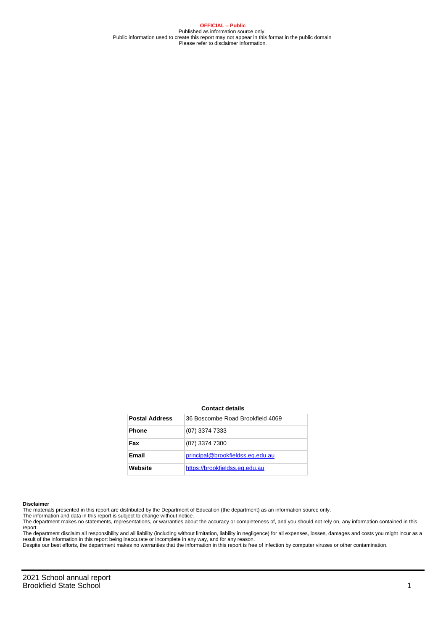**OFFICIAL – Public** Published as information source only. Public information used to create this report may not appear in this format in the public domain Please refer to disclaimer information.

#### **Contact details**

| <b>Postal Address</b> | 36 Boscombe Road Brookfield 4069 |
|-----------------------|----------------------------------|
| <b>Phone</b>          | (07) 3374 7333                   |
| Fax                   | (07) 3374 7300                   |
| Email                 | principal@brookfieldss.eq.edu.au |
| Website               | https://brookfieldss.eg.edu.au   |

#### **Disclaimer**

The materials presented in this report are distributed by the Department of Education (the department) as an information source only.

The information and data in this report is subject to change without notice.<br>The department makes no statements, representations, or warranties about the accuracy or completeness of, and you should not rely on, any informa report.

The department disclaim all responsibility and all liability (including without limitation, liability in negligence) for all expenses, losses, damages and costs you might incur as a result of the information in this report being inaccurate or incomplete in any way, and for any reason.

Despite our best efforts, the department makes no warranties that the information in this report is free of infection by computer viruses or other contamination.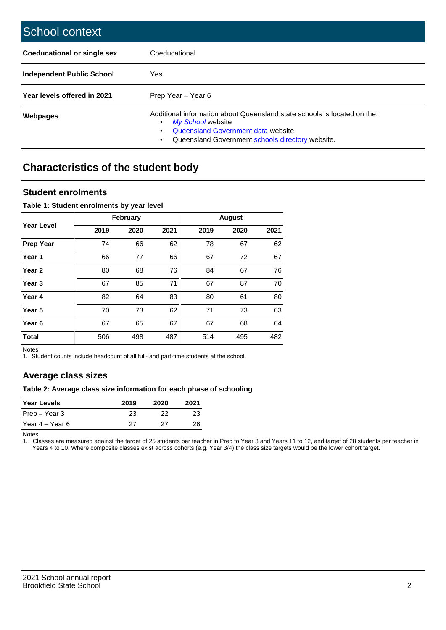| School context                   |                                                                                                                                                                                              |
|----------------------------------|----------------------------------------------------------------------------------------------------------------------------------------------------------------------------------------------|
| Coeducational or single sex      | Coeducational                                                                                                                                                                                |
| <b>Independent Public School</b> | Yes                                                                                                                                                                                          |
| Year levels offered in 2021      | Prep Year - Year 6                                                                                                                                                                           |
| Webpages                         | Additional information about Queensland state schools is located on the:<br>My School website<br>Queensland Government data website<br>Queensland Government schools directory website.<br>٠ |

# **Characteristics of the student body**

### **Student enrolments**

#### **Table 1: Student enrolments by year level**

|                   |      | <b>February</b> |      |      | <b>August</b> |      |
|-------------------|------|-----------------|------|------|---------------|------|
| <b>Year Level</b> | 2019 | 2020            | 2021 | 2019 | 2020          | 2021 |
| <b>Prep Year</b>  | 74   | 66              | 62   | 78   | 67            | 62   |
| Year 1            | 66   | 77              | 66   | 67   | 72            | 67   |
| Year 2            | 80   | 68              | 76   | 84   | 67            | 76   |
| Year <sub>3</sub> | 67   | 85              | 71   | 67   | 87            | 70   |
| Year 4            | 82   | 64              | 83   | 80   | 61            | 80   |
| Year <sub>5</sub> | 70   | 73              | 62   | 71   | 73            | 63   |
| Year <sub>6</sub> | 67   | 65              | 67   | 67   | 68            | 64   |
| <b>Total</b>      | 506  | 498             | 487  | 514  | 495           | 482  |

Notes

1. Student counts include headcount of all full- and part-time students at the school.

## **Average class sizes**

#### **Table 2: Average class size information for each phase of schooling**

| <b>Year Levels</b> | 2019 | 2020 | 2021 |
|--------------------|------|------|------|
| Prep – Year 3      | 23   | つつ   | 23   |
| Year 4 – Year 6    | 27   | דכי  | 26   |

Notes

1. Classes are measured against the target of 25 students per teacher in Prep to Year 3 and Years 11 to 12, and target of 28 students per teacher in Years 4 to 10. Where composite classes exist across cohorts (e.g. Year 3/4) the class size targets would be the lower cohort target.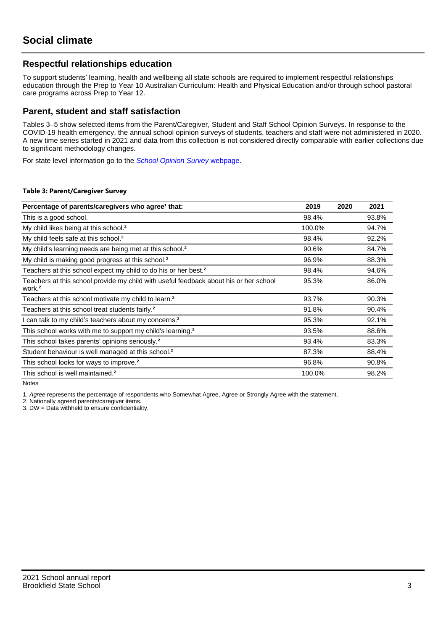## **Respectful relationships education**

To support students' learning, health and wellbeing all state schools are required to implement respectful relationships education through the Prep to Year 10 Australian Curriculum: Health and Physical Education and/or through school pastoral care programs across Prep to Year 12.

### **Parent, student and staff satisfaction**

Tables 3–5 show selected items from the Parent/Caregiver, Student and Staff School Opinion Surveys. In response to the COVID-19 health emergency, the annual school opinion surveys of students, teachers and staff were not administered in 2020. A new time series started in 2021 and data from this collection is not considered directly comparable with earlier collections due to significant methodology changes.

For state level information go to the **[School Opinion Survey](https://qed.qld.gov.au/publications/reports/statistics/schooling/schools/schoolopinionsurvey) webpage**.

#### **Table 3: Parent/Caregiver Survey**

| Percentage of parents/caregivers who agree <sup>1</sup> that:                                               | 2019   | 2020 | 2021  |
|-------------------------------------------------------------------------------------------------------------|--------|------|-------|
| This is a good school.                                                                                      | 98.4%  |      | 93.8% |
| My child likes being at this school. <sup>2</sup>                                                           | 100.0% |      | 94.7% |
| My child feels safe at this school. <sup>2</sup>                                                            | 98.4%  |      | 92.2% |
| My child's learning needs are being met at this school. <sup>2</sup>                                        | 90.6%  |      | 84.7% |
| My child is making good progress at this school. <sup>2</sup>                                               | 96.9%  |      | 88.3% |
| Teachers at this school expect my child to do his or her best. <sup>2</sup>                                 | 98.4%  |      | 94.6% |
| Teachers at this school provide my child with useful feedback about his or her school<br>work. <sup>2</sup> | 95.3%  |      | 86.0% |
| Teachers at this school motivate my child to learn. <sup>2</sup>                                            | 93.7%  |      | 90.3% |
| Teachers at this school treat students fairly. <sup>2</sup>                                                 | 91.8%  |      | 90.4% |
| I can talk to my child's teachers about my concerns. <sup>2</sup>                                           | 95.3%  |      | 92.1% |
| This school works with me to support my child's learning. <sup>2</sup>                                      | 93.5%  |      | 88.6% |
| This school takes parents' opinions seriously. <sup>2</sup>                                                 | 93.4%  |      | 83.3% |
| Student behaviour is well managed at this school. <sup>2</sup>                                              | 87.3%  |      | 88.4% |
| This school looks for ways to improve. <sup>2</sup>                                                         | 96.8%  |      | 90.8% |
| This school is well maintained. <sup>2</sup>                                                                | 100.0% |      | 98.2% |

Notes

1. Agree represents the percentage of respondents who Somewhat Agree, Agree or Strongly Agree with the statement.

2. Nationally agreed parents/caregiver items.

3. DW = Data withheld to ensure confidentiality.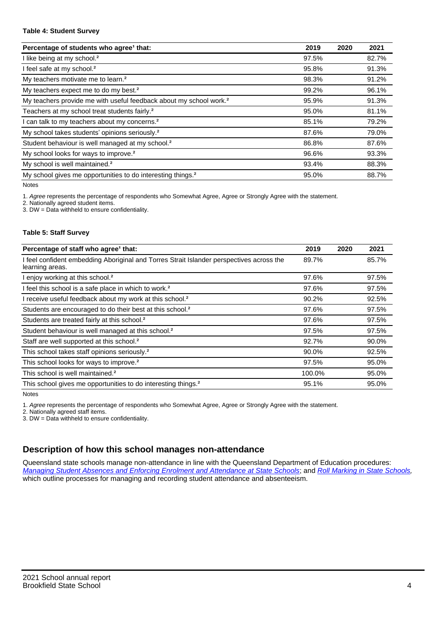#### **Table 4: Student Survey**

| Percentage of students who agree <sup>1</sup> that:                            | 2019  | 2020 | 2021  |
|--------------------------------------------------------------------------------|-------|------|-------|
| I like being at my school. <sup>2</sup>                                        | 97.5% |      | 82.7% |
| I feel safe at my school. <sup>2</sup>                                         | 95.8% |      | 91.3% |
| My teachers motivate me to learn. <sup>2</sup>                                 | 98.3% |      | 91.2% |
| My teachers expect me to do my best. <sup>2</sup>                              | 99.2% |      | 96.1% |
| My teachers provide me with useful feedback about my school work. <sup>2</sup> | 95.9% |      | 91.3% |
| Teachers at my school treat students fairly. <sup>2</sup>                      | 95.0% |      | 81.1% |
| I can talk to my teachers about my concerns. <sup>2</sup>                      | 85.1% |      | 79.2% |
| My school takes students' opinions seriously. <sup>2</sup>                     | 87.6% |      | 79.0% |
| Student behaviour is well managed at my school. <sup>2</sup>                   | 86.8% |      | 87.6% |
| My school looks for ways to improve. <sup>2</sup>                              | 96.6% |      | 93.3% |
| My school is well maintained. <sup>2</sup>                                     | 93.4% |      | 88.3% |
| My school gives me opportunities to do interesting things. <sup>2</sup>        | 95.0% |      | 88.7% |

Notes

1. Agree represents the percentage of respondents who Somewhat Agree, Agree or Strongly Agree with the statement.

2. Nationally agreed student items.

3. DW = Data withheld to ensure confidentiality.

#### **Table 5: Staff Survey**

| Percentage of staff who agree <sup>1</sup> that:                                                            | 2019   | 2020 | 2021  |
|-------------------------------------------------------------------------------------------------------------|--------|------|-------|
| I feel confident embedding Aboriginal and Torres Strait Islander perspectives across the<br>learning areas. | 89.7%  |      | 85.7% |
| I enjoy working at this school. <sup>2</sup>                                                                | 97.6%  |      | 97.5% |
| I feel this school is a safe place in which to work. <sup>2</sup>                                           | 97.6%  |      | 97.5% |
| I receive useful feedback about my work at this school. <sup>2</sup>                                        | 90.2%  |      | 92.5% |
| Students are encouraged to do their best at this school. <sup>2</sup>                                       | 97.6%  |      | 97.5% |
| Students are treated fairly at this school. <sup>2</sup>                                                    | 97.6%  |      | 97.5% |
| Student behaviour is well managed at this school. <sup>2</sup>                                              | 97.5%  |      | 97.5% |
| Staff are well supported at this school. <sup>2</sup>                                                       | 92.7%  |      | 90.0% |
| This school takes staff opinions seriously. <sup>2</sup>                                                    | 90.0%  |      | 92.5% |
| This school looks for ways to improve. <sup>2</sup>                                                         | 97.5%  |      | 95.0% |
| This school is well maintained. <sup>2</sup>                                                                | 100.0% |      | 95.0% |
| This school gives me opportunities to do interesting things. <sup>2</sup>                                   | 95.1%  |      | 95.0% |

Notes

1. Agree represents the percentage of respondents who Somewhat Agree, Agree or Strongly Agree with the statement.

2. Nationally agreed staff items.

3. DW = Data withheld to ensure confidentiality.

## **Description of how this school manages non-attendance**

Queensland state schools manage non-attendance in line with the Queensland Department of Education procedures: [Managing Student Absences and Enforcing Enrolment and Attendance at State Schools](https://ppr.qed.qld.gov.au/pp/managing-student-absences-and-enforcing-enrolment-and-attendance-at-state-schools-procedure); and [Roll Marking in State Schools,](https://ppr.qed.qld.gov.au/pp/roll-marking-in-state-schools-procedure) which outline processes for managing and recording student attendance and absenteeism.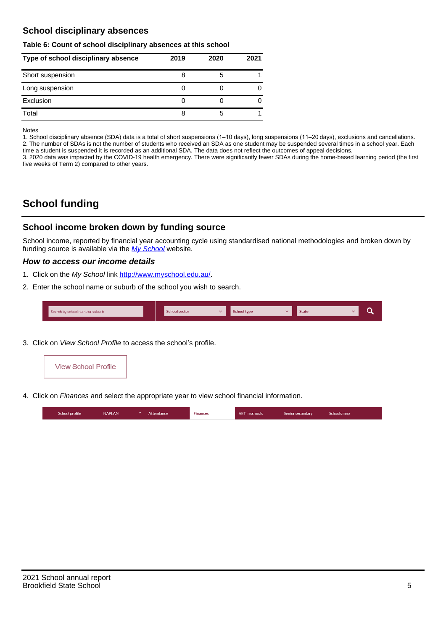## **School disciplinary absences**

#### **Table 6: Count of school disciplinary absences at this school**

| Type of school disciplinary absence | 2019 | 2020 | 2021 |
|-------------------------------------|------|------|------|
| Short suspension                    | ŏ    | b    |      |
| Long suspension                     |      |      |      |
| Exclusion                           |      |      |      |
| Total                               | 8    | 5    |      |

Notes

1. School disciplinary absence (SDA) data is a total of short suspensions (1–10 days), long suspensions (11–20 days), exclusions and cancellations. 2. The number of SDAs is not the number of students who received an SDA as one student may be suspended several times in a school year. Each time a student is suspended it is recorded as an additional SDA. The data does not reflect the outcomes of appeal decisions.

3. 2020 data was impacted by the COVID-19 health emergency. There were significantly fewer SDAs during the home-based learning period (the first five weeks of Term 2) compared to other years.

# **School funding**

### **School income broken down by funding source**

School income, reported by financial year accounting cycle using standardised national methodologies and broken down by funding source is available via the  $My$  School website.

#### **How to access our income details**

- 1. Click on the My School link <http://www.myschool.edu.au/>.
- 2. Enter the school name or suburb of the school you wish to search.

|  | Search by school name or suburb |  | <b>School sector</b> |  | $\sim$ and $\sim$ represents the set of $\sim$ | <b>State</b> |  |  |  |
|--|---------------------------------|--|----------------------|--|------------------------------------------------|--------------|--|--|--|
|--|---------------------------------|--|----------------------|--|------------------------------------------------|--------------|--|--|--|

3. Click on View School Profile to access the school's profile.



4. Click on Finances and select the appropriate year to view school financial information.

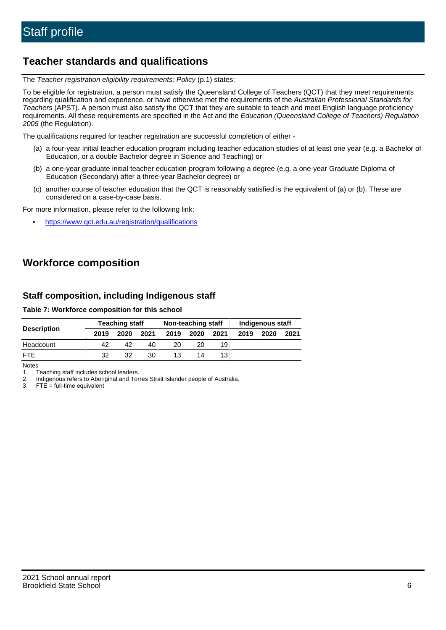# **Teacher standards and qualifications**

The Teacher registration eligibility requirements: Policy (p.1) states:

To be eligible for registration, a person must satisfy the Queensland College of Teachers (QCT) that they meet requirements regarding qualification and experience, or have otherwise met the requirements of the Australian Professional Standards for Teachers (APST). A person must also satisfy the QCT that they are suitable to teach and meet English language proficiency requirements. All these requirements are specified in the Act and the Education (Queensland College of Teachers) Regulation 2005 (the Regulation).

The qualifications required for teacher registration are successful completion of either -

- (a) a four-year initial teacher education program including teacher education studies of at least one year (e.g. a Bachelor of Education, or a double Bachelor degree in Science and Teaching) or
- (b) a one-year graduate initial teacher education program following a degree (e.g. a one-year Graduate Diploma of Education (Secondary) after a three-year Bachelor degree) or
- (c) another course of teacher education that the QCT is reasonably satisfied is the equivalent of (a) or (b). These are considered on a case-by-case basis.

For more information, please refer to the following link:

• <https://www.qct.edu.au/registration/qualifications>

# **Workforce composition**

## **Staff composition, including Indigenous staff**

#### **Table 7: Workforce composition for this school**

|                    |      | <b>Teaching staff</b> | Non-teaching staff |      |      |      | Indigenous staff |      |      |
|--------------------|------|-----------------------|--------------------|------|------|------|------------------|------|------|
| <b>Description</b> | 2019 | 2020                  | 2021               | 2019 | 2020 | 2021 | 2019             | 2020 | 2021 |
| Headcount          | 42   | 42                    | 40                 | 20   | 20   | 19   |                  |      |      |
| <b>FTE</b>         | 32   | 32                    | 30                 | 13   | 14   | 13   |                  |      |      |

Notes

1. Teaching staff includes school leaders.

2. Indigenous refers to Aboriginal and Torres Strait Islander people of Australia.

3. FTE = full-time equivalent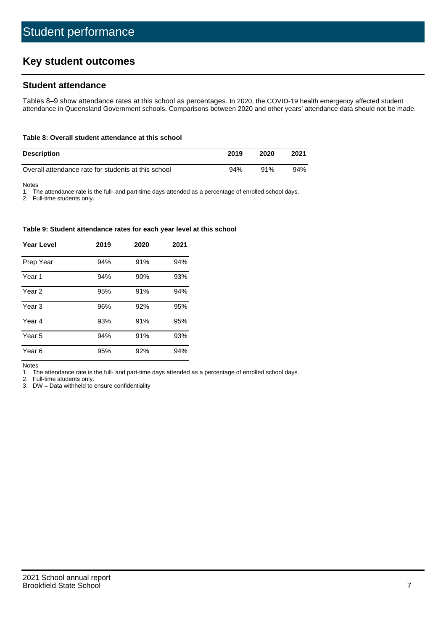# **Key student outcomes**

## **Student attendance**

Tables 8–9 show attendance rates at this school as percentages. In 2020, the COVID-19 health emergency affected student attendance in Queensland Government schools. Comparisons between 2020 and other years' attendance data should not be made.

#### **Table 8: Overall student attendance at this school**

| <b>Description</b>                                  | 2019 | 2020 | 2021 |
|-----------------------------------------------------|------|------|------|
| Overall attendance rate for students at this school | 94%  | 91%  | 94%  |

Notes

1. The attendance rate is the full- and part-time days attended as a percentage of enrolled school days.

2. Full-time students only.

#### **Table 9: Student attendance rates for each year level at this school**

| <b>Year Level</b> | 2019 | 2020 | 2021 |
|-------------------|------|------|------|
| Prep Year         | 94%  | 91%  | 94%  |
| Year <sub>1</sub> | 94%  | 90%  | 93%  |
| Year 2            | 95%  | 91%  | 94%  |
| Year <sub>3</sub> | 96%  | 92%  | 95%  |
| Year 4            | 93%  | 91%  | 95%  |
| Year 5            | 94%  | 91%  | 93%  |
| Year <sub>6</sub> | 95%  | 92%  | 94%  |

Notes

1. The attendance rate is the full- and part-time days attended as a percentage of enrolled school days.

2. Full-time students only.

3. DW = Data withheld to ensure confidentiality